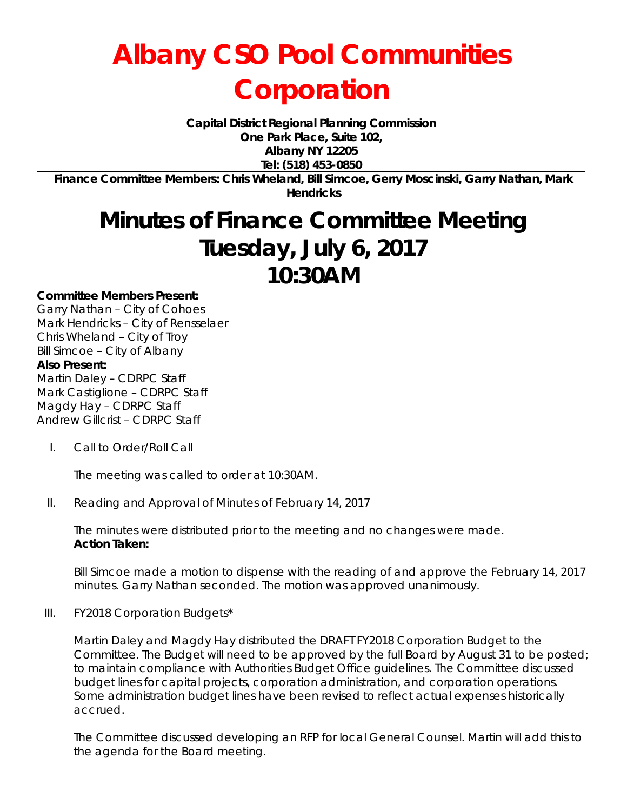## **Albany CSO Pool Communities Corporation**

**Capital District Regional Planning Commission One Park Place, Suite 102, Albany NY 12205 Tel: (518) 453-0850**

**Finance Committee Members: Chris Wheland, Bill Simcoe, Gerry Moscinski, Garry Nathan, Mark Hendricks**

## **Minutes of Finance Committee Meeting Tuesday, July 6, 2017 10:30AM**

## **Committee Members Present:**

Garry Nathan – City of Cohoes Mark Hendricks – City of Rensselaer Chris Wheland – City of Troy Bill Simcoe – City of Albany **Also Present:** Martin Daley – CDRPC Staff Mark Castiglione – CDRPC Staff Magdy Hay – CDRPC Staff Andrew Gillcrist – CDRPC Staff

I. Call to Order/Roll Call

The meeting was called to order at 10:30AM.

II. Reading and Approval of Minutes of February 14, 2017

The minutes were distributed prior to the meeting and no changes were made. **Action Taken:**

Bill Simcoe made a motion to dispense with the reading of and approve the February 14, 2017 minutes. Garry Nathan seconded. The motion was approved unanimously.

III. FY2018 Corporation Budgets\*

Martin Daley and Magdy Hay distributed the DRAFT FY2018 Corporation Budget to the Committee. The Budget will need to be approved by the full Board by August 31 to be posted; to maintain compliance with Authorities Budget Office guidelines. The Committee discussed budget lines for capital projects, corporation administration, and corporation operations. Some administration budget lines have been revised to reflect actual expenses historically accrued.

The Committee discussed developing an RFP for local General Counsel. Martin will add this to the agenda for the Board meeting.